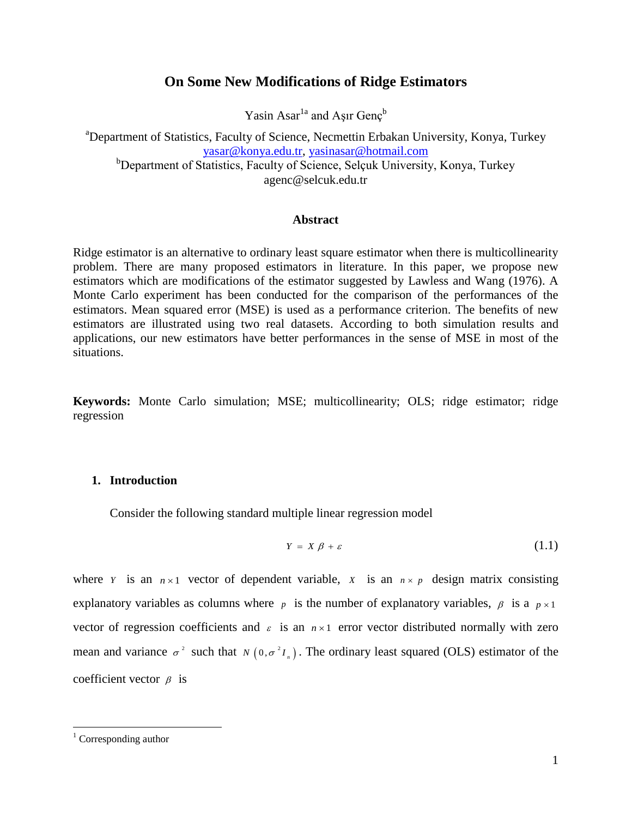# **On Some New Modifications of Ridge Estimators**

Yasin Asar $^{1a}$  and Aşır Genç $^{b}$ 

<sup>a</sup>Department of Statistics, Faculty of Science, Necmettin Erbakan University, Konya, Turkey [yasar@konya.edu.tr,](mailto:yasar@konya.edu.tr) [yasinasar@hotmail.com](mailto:yasinasar@hotmail.com) <sup>b</sup>Department of Statistics, Faculty of Science, Selçuk University, Konya, Turkey

agenc@selcuk.edu.tr

#### **Abstract**

Ridge estimator is an alternative to ordinary least square estimator when there is multicollinearity problem. There are many proposed estimators in literature. In this paper, we propose new estimators which are modifications of the estimator suggested by Lawless and Wang (1976). A Monte Carlo experiment has been conducted for the comparison of the performances of the estimators. Mean squared error (MSE) is used as a performance criterion. The benefits of new estimators are illustrated using two real datasets. According to both simulation results and applications, our new estimators have better performances in the sense of MSE in most of the situations.

**Keywords:** Monte Carlo simulation; MSE; multicollinearity; OLS; ridge estimator; ridge regression

# **1. Introduction**

Consider the following standard multiple linear regression model

$$
Y = X \beta + \varepsilon \tag{1.1}
$$

where *Y* is an  $n \times 1$  vector of dependent variable, *X* is an  $n \times p$  design matrix consisting explanatory variables as columns where  $p$  is the number of explanatory variables,  $\beta$  is a  $p \times 1$ vector of regression coefficients and  $\varepsilon$  is an  $n \times 1$  error vector distributed normally with zero mean and variance  $\sigma^2$  such that  $N(0, \sigma^2 I_n)$ . The ordinary least squared (OLS) estimator of the coefficient vector  $\beta$  is

 $\overline{a}$ 

Corresponding author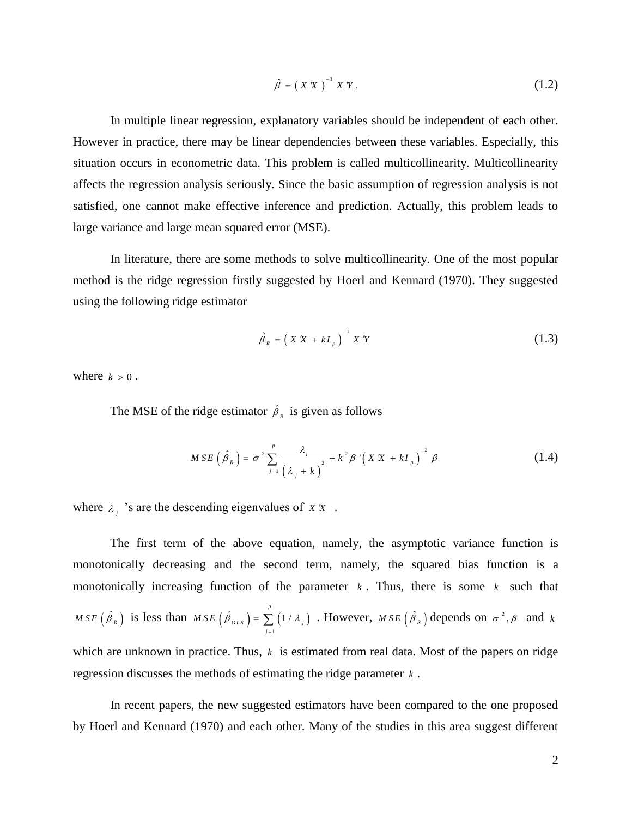$$
\hat{\beta} = \left(X X\right)^{-1} X Y. \tag{1.2}
$$

In multiple linear regression, explanatory variables should be independent of each other. However in practice, there may be linear dependencies between these variables. Especially, this situation occurs in econometric data. This problem is called multicollinearity. Multicollinearity affects the regression analysis seriously. Since the basic assumption of regression analysis is not satisfied, one cannot make effective inference and prediction. Actually, this problem leads to large variance and large mean squared error (MSE).

In literature, there are some methods to solve multicollinearity. One of the most popular method is the ridge regression firstly suggested by [Hoerl and Kennard \(1970\).](#page-13-0) They suggested using the following ridge estimator

$$
\hat{\beta}_R = \left(X X + kI_p\right)^{-1} X Y \tag{1.3}
$$

where  $k > 0$ .

The MSE of the ridge estimator  $\hat{\beta}_R$  is given as follows

$$
MSE\left(\hat{\beta}_R\right) = \sigma^2 \sum_{j=1}^p \frac{\lambda_j}{\left(\lambda_j + k\right)^2} + k^2 \beta \left(XX + kI_p\right)^{-2} \beta \tag{1.4}
$$

where  $\lambda_j$  's are the descending eigenvalues of x x.

The first term of the above equation, namely, the asymptotic variance function is monotonically decreasing and the second term, namely, the squared bias function is a monotonically increasing function of the parameter  $k$ . Thus, there is some  $k$  such that *M S E*  $(\hat{\beta}_R)$  is less than *M S E*  $(\hat{\beta}_{OLS}) = \sum_{k=1}^{n} (1/\lambda_k)^k$ 1  $(\hat{\beta}_{OLS}) = \sum_{r=1}^{p} (1/r)^r$  $_{OLS}$  ) =  $\sum_{j=1}$  (1 /  $\lambda_j$  $MSE\left(\hat{\beta}_{OLS}\right) = \sum_{k=1}^{N} \left(1/\lambda_{k}\right)^{k}$  $=\sum_{j=1}^{\infty} (1/\lambda_j)$ . However,  $MSE(\hat{\beta}_R)$  depends on  $\sigma^2$ ,  $\beta$  and  $k$ which are unknown in practice. Thus,  $k$  is estimated from real data. Most of the papers on ridge regression discusses the methods of estimating the ridge parameter *k* .

In recent papers, the new suggested estimators have been compared to the one proposed by [Hoerl and Kennard \(1970\)](#page-13-0) and each other. Many of the studies in this area suggest different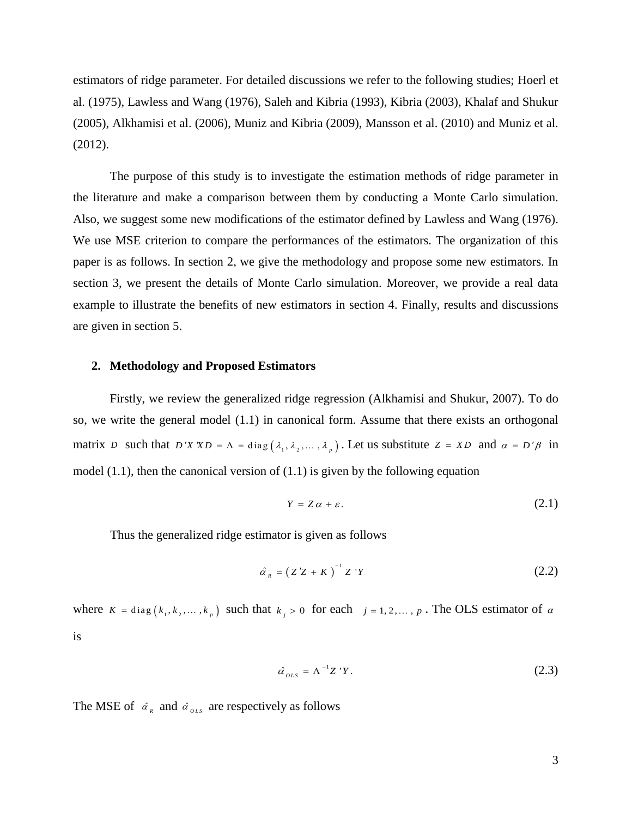estimators of ridge parameter. For detailed discussions we refer to the following studies; [Hoerl et](#page-13-1)  al. (1975), [Lawless and Wang \(1976\),](#page-13-2) [Saleh and Kibria \(1993\),](#page-13-3) [Kibria \(2003\),](#page-13-4) [Khalaf and Shukur](#page-13-5)  (2005), [Alkhamisi et al. \(2006\),](#page-13-6) [Muniz and Kibria \(2009\),](#page-13-7) [Mansson et al. \(2010\)](#page-13-8) and [Muniz et al.](#page-13-9)  (2012).

The purpose of this study is to investigate the estimation methods of ridge parameter in the literature and make a comparison between them by conducting a Monte Carlo simulation. Also, we suggest some new modifications of the estimator defined by [Lawless and Wang \(1976\).](#page-13-2) We use MSE criterion to compare the performances of the estimators. The organization of this paper is as follows. In section 2, we give the methodology and propose some new estimators. In section 3, we present the details of Monte Carlo simulation. Moreover, we provide a real data example to illustrate the benefits of new estimators in section 4. Finally, results and discussions are given in section 5.

#### **2. Methodology and Proposed Estimators**

Firstly, we review the generalized ridge regression [\(Alkhamisi and Shukur, 2007\)](#page-13-10). To do so, we write the general model (1.1) in canonical form. Assume that there exists an orthogonal matrix *D* such that  $D'X'XD = \Lambda = diag(\lambda_1, \lambda_2, ..., \lambda_p)$ . Let us substitute  $Z = XD$  and  $\alpha = D'\beta$  in model  $(1.1)$ , then the canonical version of  $(1.1)$  is given by the following equation

$$
Y = Z\alpha + \varepsilon. \tag{2.1}
$$

Thus the generalized ridge estimator is given as follows

$$
\hat{\alpha}_R = \left(Z'Z + K\right)^{-1} Z'Y \tag{2.2}
$$

where  $K = diag(k_1, k_2, ..., k_p)$  such that  $k_j > 0$  for each  $j = 1, 2, ..., p$ . The OLS estimator of  $\alpha$ is

$$
\hat{\alpha}_{OLS} = \Lambda^{-1} Z \, ^{\prime} Y. \tag{2.3}
$$

The MSE of  $\hat{a}_R$  and  $\hat{a}_{OLS}$  are respectively as follows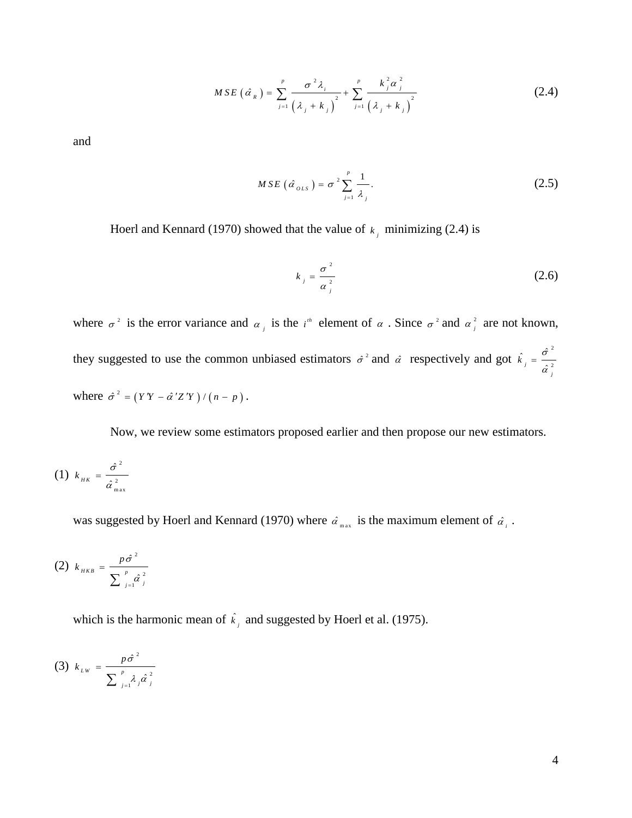$$
MSE\left(\hat{\alpha}_{R}\right) = \sum_{j=1}^{p} \frac{\sigma^{2} \lambda_{i}}{\left(\lambda_{j} + k_{j}\right)^{2}} + \sum_{j=1}^{p} \frac{k_{j}^{2} \alpha_{j}^{2}}{\left(\lambda_{j} + k_{j}\right)^{2}}
$$
(2.4)

and

$$
MSE\left(\hat{\alpha}_{OLS}\right) = \sigma^2 \sum_{j=1}^p \frac{1}{\lambda_j}.\tag{2.5}
$$

[Hoerl and Kennard \(1970\)](#page-13-0) showed that the value of  $k_j$  minimizing (2.4) is

$$
k_j = \frac{\sigma^2}{\alpha_j^2} \tag{2.6}
$$

where  $\sigma^2$  is the error variance and  $\alpha_j$  is the *i*<sup>th</sup> element of  $\alpha$ . Since  $\sigma^2$  and  $\alpha_j^2$  $\alpha_j^2$  are not known, they suggested to use the common unbiased estimators  $\hat{\sigma}^2$  and  $\hat{\alpha}$  respectively and got  $\hat{k}_i = \frac{\hat{\sigma}^2}{2}$ 2  $\hat{c} = \frac{\hat{\sigma}}{2}$ *j*  $\hat{\alpha}$ *j*  $\hat{k}_{\perp} = \frac{\sigma}{\tau}$  $=$   $\frac{1}{\hat{\alpha}}$ where  $\hat{\sigma}^2 = (YY - \hat{\alpha}^\prime Z'Y) / (n - p)$ .

Now, we review some estimators proposed earlier and then propose our new estimators.

$$
(1) \ k_{_{HK}} = \frac{\hat{\sigma}^2}{\hat{\alpha}_{_{\text{max}}}^2}
$$

was suggested by [Hoerl and Kennard \(1970\)](#page-13-0) where  $\hat{a}_{\text{max}}$  is the maximum element of  $\hat{a}_{i}$ .

(2) 
$$
k_{HKB} = \frac{p\hat{\sigma}^2}{\sum_{j=1}^p \hat{\alpha}_j^2}
$$

which is the harmonic mean of  $\hat{k}_i$  and suggested by [Hoerl et al. \(1975\).](#page-13-1)

(3) 
$$
k_{LW} = \frac{p\hat{\sigma}^2}{\sum_{j=1}^p \lambda_j \hat{\alpha}_j^2}
$$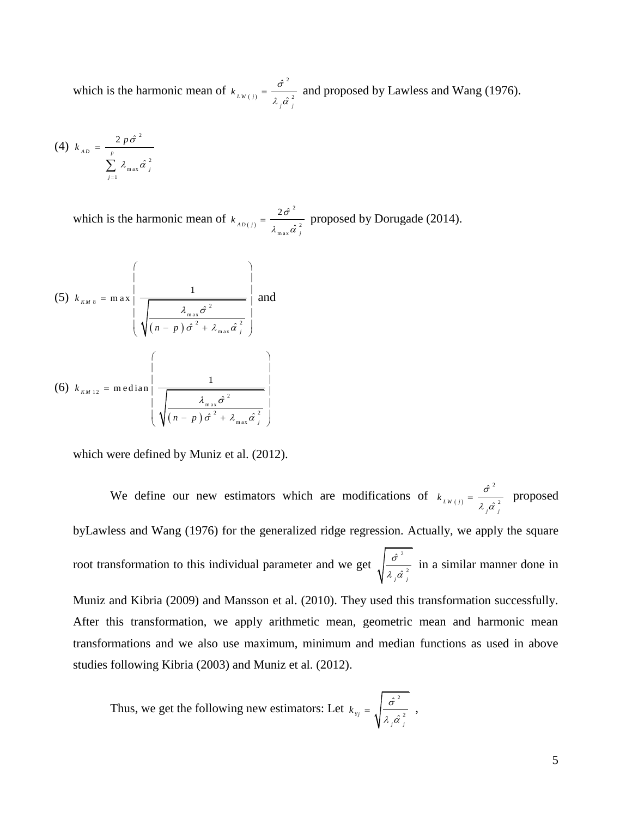which is the harmonic mean of  $k_{LW(j)}$ 2 2 ˆ  $\hat{\alpha}$ *W j j*  $k$ <sub>*LW*(*i*)</sub> =  $\frac{\sigma}{\sigma}$  $\lambda$  ,  $\hat{\alpha}$  $=\frac{6}{10}$  and proposed by [Lawless and Wang \(1976\).](#page-13-2)

$$
(4) \ k_{_{AD}} = \frac{2 \ p \hat{\sigma}^2}{\sum_{j=1}^{p} \lambda_{\max} \hat{\alpha}_{j}^2}
$$

which is the harmonic mean of  $k_{AD(j)}$ 2 m a x 2  $2\hat{\sigma}$  $\hat{\imath}^{\,2}_{\,j}$  $k_{AD(j)} = \frac{2\sigma}{\sigma}$  $\lambda_{\text{max}}^{\dagger} \hat{\alpha}^{\dagger}$  $=\frac{20}{10}$  proposed by [Dorugade \(2014\).](#page-13-11)

(5) 
$$
k_{\kappa M 8} = \max \left\{ \frac{1}{\sqrt{\left(n - p\right) \hat{\sigma}^2 + \lambda_{\max} \hat{\sigma}^2}} \right\}
$$
 and  
\n(6)  $k_{\kappa M 12} = \text{median} \left\{ \frac{1}{\sqrt{\left(n - p\right) \hat{\sigma}^2 + \lambda_{\max} \hat{\sigma}^2}} \right\}$   
\n $\sqrt{\frac{1}{\sqrt{\left(n - p\right) \hat{\sigma}^2 + \lambda_{\max} \hat{\sigma}^2}}}$ 

which were defined by [Muniz et al. \(2012\).](#page-13-9)

We define our new estimators which are modifications of  $k_{Lw(j)}$ 2 2 ˆ  $\hat{\alpha}$ *W j j*  $k$ <sub>*LW*(*i*)</sub> =  $\frac{\sigma}{\sigma}$  $\lambda$  ,  $\hat{\alpha}$  $=\frac{6}{1}$  proposed b[yLawless and Wang \(1976\)](#page-13-2) for the generalized ridge regression. Actually, we apply the square root transformation to this individual parameter and we get  $\int_{-\infty}^{\infty}$ 2 ˆ  $\hat{a}^{\frac{2}{j}}$ σ  $\frac{\partial}{\partial \vec{r}}$  in a similar manner done in [Muniz and Kibria \(2009\)](#page-13-7) and [Mansson et al. \(2010\).](#page-13-8) They used this transformation successfully. After this transformation, we apply arithmetic mean, geometric mean and harmonic mean transformations and we also use maximum, minimum and median functions as used in above studies following [Kibria \(2003\)](#page-13-4) and [Muniz et al. \(2012\).](#page-13-9)

Thus, we get the following new estimators: Let 
$$
k_{yj} = \sqrt{\frac{\hat{\sigma}^2}{\lambda_j \hat{\alpha}_j^2}}
$$
,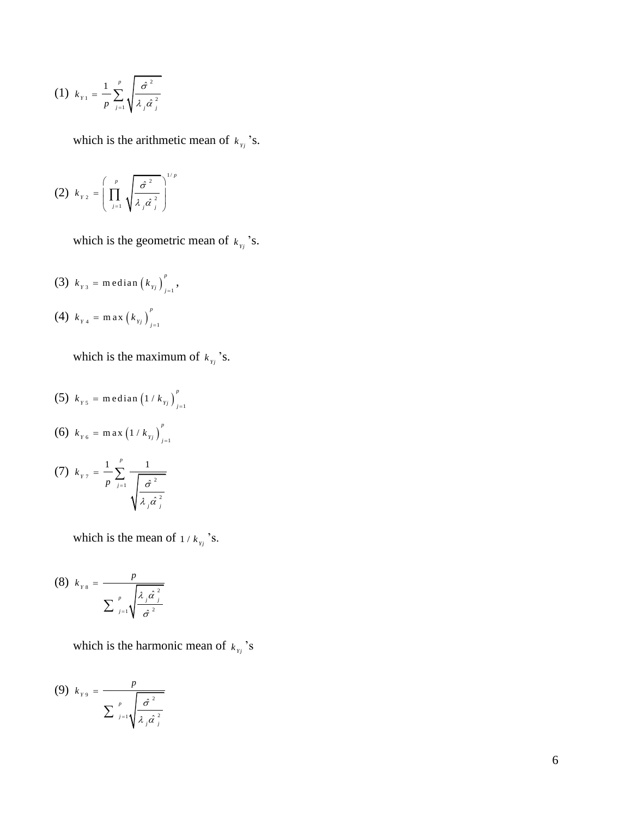(1) 
$$
k_{y_1} = \frac{1}{p} \sum_{j=1}^p \sqrt{\frac{\hat{\sigma}^2}{\lambda_j \hat{\alpha}_j^2}}
$$

which is the arithmetic mean of  $k_{y_i}$ 's.

$$
(2) \ \ k_{\gamma_2} = \left( \prod_{j=1}^p \sqrt{\frac{\hat{\sigma}^2}{\lambda_j \hat{\alpha}_j^2}} \right)^{1/p}
$$

which is the geometric mean of  $k_{y}$ 's.

(3) 
$$
k_{y_3}
$$
 = median  $(k_{y_j})_{j=1}^p$ ,  
(4)  $k_{y_4}$  = max  $(k_{y_j})_{j=1}^p$ 

which is the maximum of  $k_{y_i}$ 's.

(5) 
$$
k_{\gamma 5} = \text{median} (1 / k_{\gamma j})_{j=1}^{p}
$$
  
\n(6)  $k_{\gamma 6} = \text{max} (1 / k_{\gamma j})_{j=1}^{p}$   
\n(7)  $k_{\gamma 7} = \frac{1}{p} \sum_{j=1}^{p} \frac{1}{\sqrt{\frac{\hat{\sigma}^{2}}{\lambda_{j} \hat{\alpha}_{j}^{2}}}}$ 

which is the mean of  $1/k_{y_i}$ 's.

(8) 
$$
k_{ys} = \frac{p}{\sum_{j=1}^{p} \sqrt{\frac{\lambda_j \hat{\alpha}_j^2}{\hat{\sigma}^2}}}
$$

which is the harmonic mean of  $k_{y_i}$ 's

$$
(9) \ \ k_{\gamma 9} = \frac{p}{\sum_{j=1}^{p} \sqrt{\frac{\hat{\sigma}^2}{\lambda_j \hat{\alpha}_j^2}}}
$$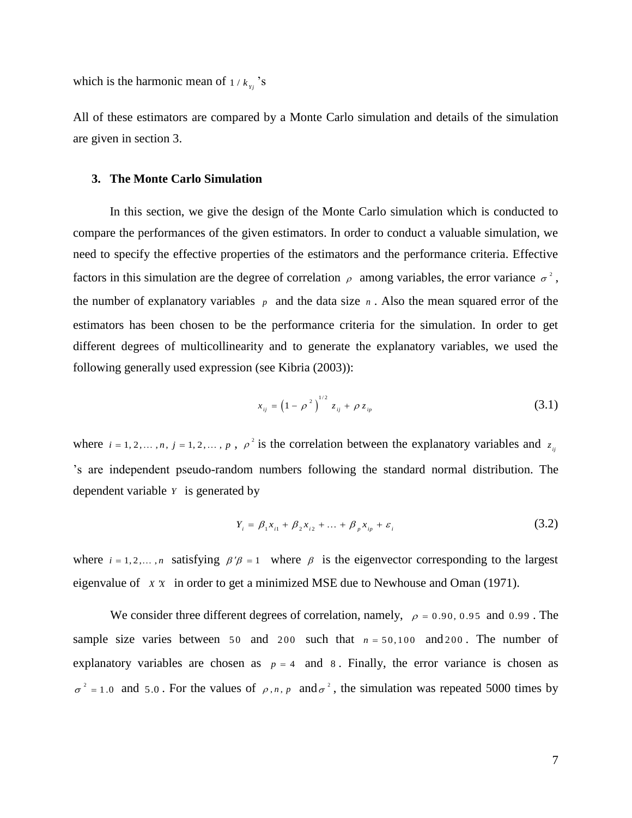which is the harmonic mean of  $1/k_{y}$  's

All of these estimators are compared by a Monte Carlo simulation and details of the simulation are given in section 3.

#### **3. The Monte Carlo Simulation**

In this section, we give the design of the Monte Carlo simulation which is conducted to compare the performances of the given estimators. In order to conduct a valuable simulation, we need to specify the effective properties of the estimators and the performance criteria. Effective factors in this simulation are the degree of correlation  $\rho$  among variables, the error variance  $\sigma^2$ , the number of explanatory variables  $\bar{p}$  and the data size  $\bar{n}$ . Also the mean squared error of the estimators has been chosen to be the performance criteria for the simulation. In order to get different degrees of multicollinearity and to generate the explanatory variables, we used the following generally used expression (see Kibria (2003)):

$$
x_{ij} = \left(1 - \rho^2\right)^{1/2} z_{ij} + \rho z_{ip}
$$
 (3.1)

where  $i = 1, 2, ..., n$ ,  $j = 1, 2, ..., p$ ,  $\rho^2$  is the correlation between the explanatory variables and  $z_{ij}$ 's are independent pseudo-random numbers following the standard normal distribution. The dependent variable *Y* is generated by

$$
Y_i = \beta_1 x_{i1} + \beta_2 x_{i2} + \dots + \beta_p x_{ip} + \varepsilon_i
$$
 (3.2)

where  $i = 1, 2, ..., n$  satisfying  $\beta' \beta = 1$  where  $\beta$  is the eigenvector corresponding to the largest eigenvalue of *X X* in order to get a minimized MSE due to [Newhouse and Oman \(1971\).](#page-13-12)

We consider three different degrees of correlation, namely,  $\rho = 0.90, 0.95$  and 0.99. The sample size varies between  $50$  and  $200$  such that  $n = 50,100$  and  $200$ . The number of explanatory variables are chosen as  $p = 4$  and 8. Finally, the error variance is chosen as  $\sigma^2$  = 1.0 and 5.0. For the values of  $\rho$ , *n*, *p* and  $\sigma^2$ , the simulation was repeated 5000 times by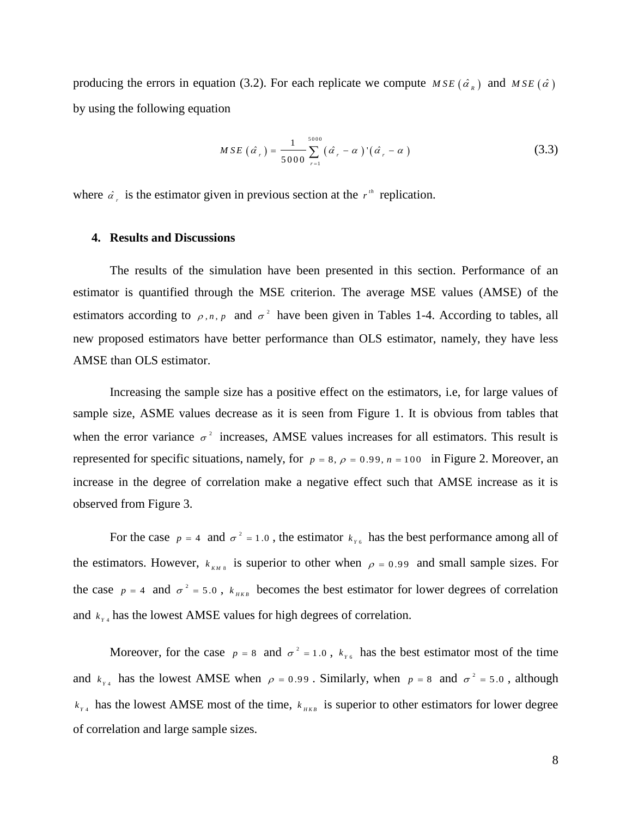producing the errors in equation (3.2). For each replicate we compute  $MSE(\hat{\alpha}_R)$  and  $MSE(\hat{\alpha})$ by using the following equation

$$
MSE\left(\hat{a}_r\right) = \frac{1}{5000} \sum_{r=1}^{5000} \left(\hat{a}_r - \alpha\right) \left(\hat{a}_r - \alpha\right)
$$
 (3.3)

where  $\hat{\alpha}_r$  is the estimator given in previous section at the  $r^{\mu}$  replication.

# **4. Results and Discussions**

The results of the simulation have been presented in this section. Performance of an estimator is quantified through the MSE criterion. The average MSE values (AMSE) of the estimators according to  $\rho$ , *n*, *p* and  $\sigma^2$  have been given in Tables 1-4. According to tables, all new proposed estimators have better performance than OLS estimator, namely, they have less AMSE than OLS estimator.

Increasing the sample size has a positive effect on the estimators, i.e, for large values of sample size, ASME values decrease as it is seen from Figure 1. It is obvious from tables that when the error variance  $\sigma^2$  increases, AMSE values increases for all estimators. This result is represented for specific situations, namely, for  $p = 8$ ,  $\rho = 0.99$ ,  $n = 100$  in Figure 2. Moreover, an increase in the degree of correlation make a negative effect such that AMSE increase as it is observed from Figure 3.

For the case  $p = 4$  and  $\sigma^2 = 1.0$ , the estimator  $k_{r6}$  has the best performance among all of the estimators. However,  $k_{kM8}$  is superior to other when  $\rho = 0.99$  and small sample sizes. For the case  $p = 4$  and  $\sigma^2 = 5.0$ ,  $k_{HKB}$  becomes the best estimator for lower degrees of correlation and  $k_{y4}$  has the lowest AMSE values for high degrees of correlation.

Moreover, for the case  $p = 8$  and  $\sigma^2 = 1.0$ ,  $k_{r6}$  has the best estimator most of the time and  $k_{y_4}$  has the lowest AMSE when  $\rho = 0.99$ . Similarly, when  $p = 8$  and  $\sigma^2 = 5.0$ , although  $k_{y_4}$  has the lowest AMSE most of the time,  $k_{y_{KB}}$  is superior to other estimators for lower degree of correlation and large sample sizes.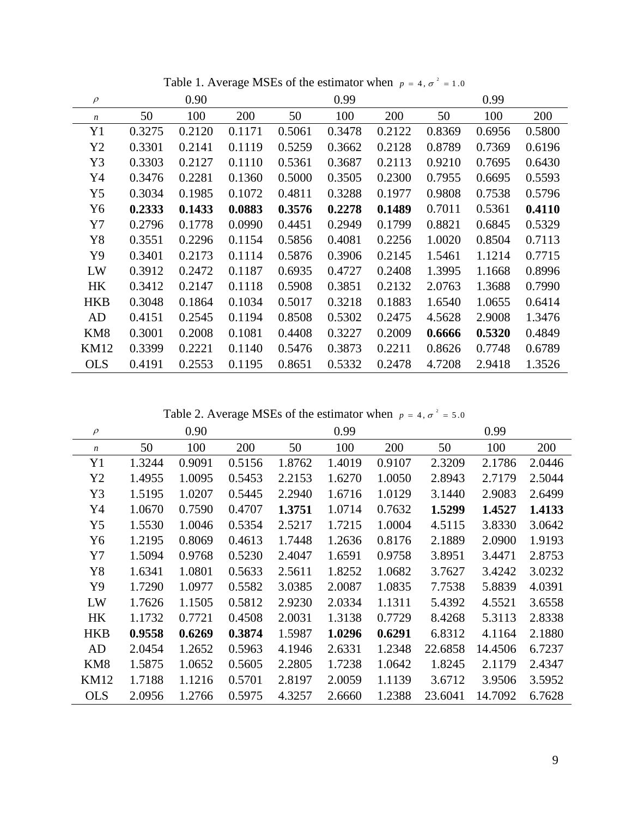| $\rho$           |        | 0.90   |        |        | 0.99   |        |        | 0.99   |        |
|------------------|--------|--------|--------|--------|--------|--------|--------|--------|--------|
| $\boldsymbol{n}$ | 50     | 100    | 200    | 50     | 100    | 200    | 50     | 100    | 200    |
| Y <sub>1</sub>   | 0.3275 | 0.2120 | 0.1171 | 0.5061 | 0.3478 | 0.2122 | 0.8369 | 0.6956 | 0.5800 |
| Y2               | 0.3301 | 0.2141 | 0.1119 | 0.5259 | 0.3662 | 0.2128 | 0.8789 | 0.7369 | 0.6196 |
| Y3               | 0.3303 | 0.2127 | 0.1110 | 0.5361 | 0.3687 | 0.2113 | 0.9210 | 0.7695 | 0.6430 |
| Y4               | 0.3476 | 0.2281 | 0.1360 | 0.5000 | 0.3505 | 0.2300 | 0.7955 | 0.6695 | 0.5593 |
| Y5               | 0.3034 | 0.1985 | 0.1072 | 0.4811 | 0.3288 | 0.1977 | 0.9808 | 0.7538 | 0.5796 |
| Y6               | 0.2333 | 0.1433 | 0.0883 | 0.3576 | 0.2278 | 0.1489 | 0.7011 | 0.5361 | 0.4110 |
| Y7               | 0.2796 | 0.1778 | 0.0990 | 0.4451 | 0.2949 | 0.1799 | 0.8821 | 0.6845 | 0.5329 |
| Y8               | 0.3551 | 0.2296 | 0.1154 | 0.5856 | 0.4081 | 0.2256 | 1.0020 | 0.8504 | 0.7113 |
| Y9               | 0.3401 | 0.2173 | 0.1114 | 0.5876 | 0.3906 | 0.2145 | 1.5461 | 1.1214 | 0.7715 |
| LW               | 0.3912 | 0.2472 | 0.1187 | 0.6935 | 0.4727 | 0.2408 | 1.3995 | 1.1668 | 0.8996 |
| <b>HK</b>        | 0.3412 | 0.2147 | 0.1118 | 0.5908 | 0.3851 | 0.2132 | 2.0763 | 1.3688 | 0.7990 |
| <b>HKB</b>       | 0.3048 | 0.1864 | 0.1034 | 0.5017 | 0.3218 | 0.1883 | 1.6540 | 1.0655 | 0.6414 |
| AD               | 0.4151 | 0.2545 | 0.1194 | 0.8508 | 0.5302 | 0.2475 | 4.5628 | 2.9008 | 1.3476 |
| KM <sub>8</sub>  | 0.3001 | 0.2008 | 0.1081 | 0.4408 | 0.3227 | 0.2009 | 0.6666 | 0.5320 | 0.4849 |
| <b>KM12</b>      | 0.3399 | 0.2221 | 0.1140 | 0.5476 | 0.3873 | 0.2211 | 0.8626 | 0.7748 | 0.6789 |
| <b>OLS</b>       | 0.4191 | 0.2553 | 0.1195 | 0.8651 | 0.5332 | 0.2478 | 4.7208 | 2.9418 | 1.3526 |

Table 1. Average MSEs of the estimator when  $p = 4$ ,  $\sigma^2 = 1.0$ 

Table 2. Average MSEs of the estimator when  $p = 4$ ,  $\sigma^2 = 5.0$ 

| $\rho$           |        | 0.90   |        | 0.99   |        |        | 0.99    |         |        |
|------------------|--------|--------|--------|--------|--------|--------|---------|---------|--------|
| $\boldsymbol{n}$ | 50     | 100    | 200    | 50     | 100    | 200    | 50      | 100     | 200    |
| Y <sub>1</sub>   | 1.3244 | 0.9091 | 0.5156 | 1.8762 | 1.4019 | 0.9107 | 2.3209  | 2.1786  | 2.0446 |
| Y2               | 1.4955 | 1.0095 | 0.5453 | 2.2153 | 1.6270 | 1.0050 | 2.8943  | 2.7179  | 2.5044 |
| Y3               | 1.5195 | 1.0207 | 0.5445 | 2.2940 | 1.6716 | 1.0129 | 3.1440  | 2.9083  | 2.6499 |
| Y4               | 1.0670 | 0.7590 | 0.4707 | 1.3751 | 1.0714 | 0.7632 | 1.5299  | 1.4527  | 1.4133 |
| Y5               | 1.5530 | 1.0046 | 0.5354 | 2.5217 | 1.7215 | 1.0004 | 4.5115  | 3.8330  | 3.0642 |
| Y6               | 1.2195 | 0.8069 | 0.4613 | 1.7448 | 1.2636 | 0.8176 | 2.1889  | 2.0900  | 1.9193 |
| Y7               | 1.5094 | 0.9768 | 0.5230 | 2.4047 | 1.6591 | 0.9758 | 3.8951  | 3.4471  | 2.8753 |
| Y8               | 1.6341 | 1.0801 | 0.5633 | 2.5611 | 1.8252 | 1.0682 | 3.7627  | 3.4242  | 3.0232 |
| Y9               | 1.7290 | 1.0977 | 0.5582 | 3.0385 | 2.0087 | 1.0835 | 7.7538  | 5.8839  | 4.0391 |
| LW               | 1.7626 | 1.1505 | 0.5812 | 2.9230 | 2.0334 | 1.1311 | 5.4392  | 4.5521  | 3.6558 |
| HK               | 1.1732 | 0.7721 | 0.4508 | 2.0031 | 1.3138 | 0.7729 | 8.4268  | 5.3113  | 2.8338 |
| <b>HKB</b>       | 0.9558 | 0.6269 | 0.3874 | 1.5987 | 1.0296 | 0.6291 | 6.8312  | 4.1164  | 2.1880 |
| AD               | 2.0454 | 1.2652 | 0.5963 | 4.1946 | 2.6331 | 1.2348 | 22.6858 | 14.4506 | 6.7237 |
| KM <sub>8</sub>  | 1.5875 | 1.0652 | 0.5605 | 2.2805 | 1.7238 | 1.0642 | 1.8245  | 2.1179  | 2.4347 |
| <b>KM12</b>      | 1.7188 | 1.1216 | 0.5701 | 2.8197 | 2.0059 | 1.1139 | 3.6712  | 3.9506  | 3.5952 |
| <b>OLS</b>       | 2.0956 | 1.2766 | 0.5975 | 4.3257 | 2.6660 | 1.2388 | 23.6041 | 14.7092 | 6.7628 |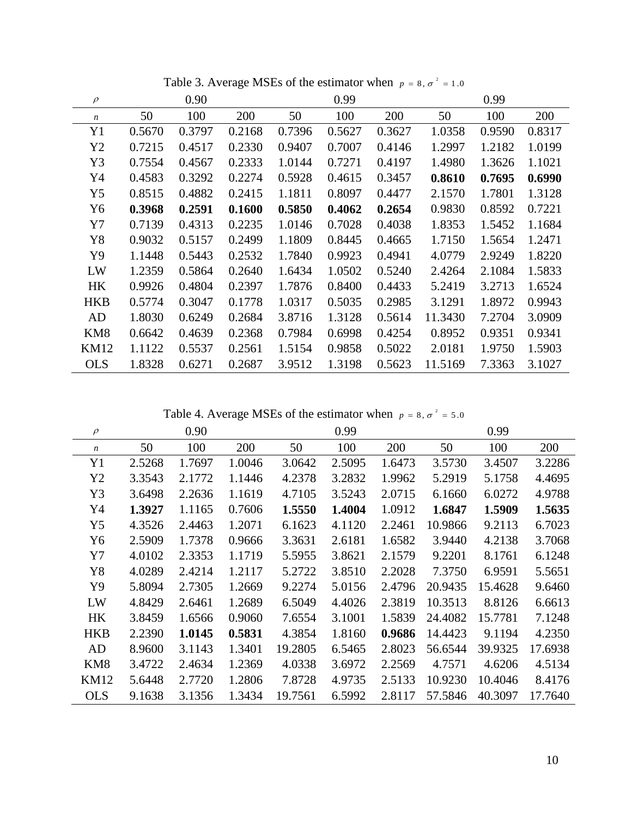| $\rho$           |        | 0.90   |        |        | 0.99   |        |         | 0.99   |        |
|------------------|--------|--------|--------|--------|--------|--------|---------|--------|--------|
| $\boldsymbol{n}$ | 50     | 100    | 200    | 50     | 100    | 200    | 50      | 100    | 200    |
| Y1               | 0.5670 | 0.3797 | 0.2168 | 0.7396 | 0.5627 | 0.3627 | 1.0358  | 0.9590 | 0.8317 |
| Y2               | 0.7215 | 0.4517 | 0.2330 | 0.9407 | 0.7007 | 0.4146 | 1.2997  | 1.2182 | 1.0199 |
| Y3               | 0.7554 | 0.4567 | 0.2333 | 1.0144 | 0.7271 | 0.4197 | 1.4980  | 1.3626 | 1.1021 |
| Y4               | 0.4583 | 0.3292 | 0.2274 | 0.5928 | 0.4615 | 0.3457 | 0.8610  | 0.7695 | 0.6990 |
| Y5               | 0.8515 | 0.4882 | 0.2415 | 1.1811 | 0.8097 | 0.4477 | 2.1570  | 1.7801 | 1.3128 |
| Y6               | 0.3968 | 0.2591 | 0.1600 | 0.5850 | 0.4062 | 0.2654 | 0.9830  | 0.8592 | 0.7221 |
| Y7               | 0.7139 | 0.4313 | 0.2235 | 1.0146 | 0.7028 | 0.4038 | 1.8353  | 1.5452 | 1.1684 |
| Y8               | 0.9032 | 0.5157 | 0.2499 | 1.1809 | 0.8445 | 0.4665 | 1.7150  | 1.5654 | 1.2471 |
| Y9               | 1.1448 | 0.5443 | 0.2532 | 1.7840 | 0.9923 | 0.4941 | 4.0779  | 2.9249 | 1.8220 |
| LW               | 1.2359 | 0.5864 | 0.2640 | 1.6434 | 1.0502 | 0.5240 | 2.4264  | 2.1084 | 1.5833 |
| HK               | 0.9926 | 0.4804 | 0.2397 | 1.7876 | 0.8400 | 0.4433 | 5.2419  | 3.2713 | 1.6524 |
| <b>HKB</b>       | 0.5774 | 0.3047 | 0.1778 | 1.0317 | 0.5035 | 0.2985 | 3.1291  | 1.8972 | 0.9943 |
| AD               | 1.8030 | 0.6249 | 0.2684 | 3.8716 | 1.3128 | 0.5614 | 11.3430 | 7.2704 | 3.0909 |
| KM <sub>8</sub>  | 0.6642 | 0.4639 | 0.2368 | 0.7984 | 0.6998 | 0.4254 | 0.8952  | 0.9351 | 0.9341 |
| <b>KM12</b>      | 1.1122 | 0.5537 | 0.2561 | 1.5154 | 0.9858 | 0.5022 | 2.0181  | 1.9750 | 1.5903 |
| <b>OLS</b>       | 1.8328 | 0.6271 | 0.2687 | 3.9512 | 1.3198 | 0.5623 | 11.5169 | 7.3363 | 3.1027 |

Table 3. Average MSEs of the estimator when  $p = 8, \sigma^2 = 1.0$ 

Table 4. Average MSEs of the estimator when  $p = 8, \sigma^2 = 5.0$ 

| $\rho$           |        | 0.90   |        |         | 0.99   |        |         | 0.99    |         |
|------------------|--------|--------|--------|---------|--------|--------|---------|---------|---------|
| $\boldsymbol{n}$ | 50     | 100    | 200    | 50      | 100    | 200    | 50      | 100     | 200     |
| Y <sub>1</sub>   | 2.5268 | 1.7697 | 1.0046 | 3.0642  | 2.5095 | 1.6473 | 3.5730  | 3.4507  | 3.2286  |
| Y2               | 3.3543 | 2.1772 | 1.1446 | 4.2378  | 3.2832 | 1.9962 | 5.2919  | 5.1758  | 4.4695  |
| Y3               | 3.6498 | 2.2636 | 1.1619 | 4.7105  | 3.5243 | 2.0715 | 6.1660  | 6.0272  | 4.9788  |
| Y4               | 1.3927 | 1.1165 | 0.7606 | 1.5550  | 1.4004 | 1.0912 | 1.6847  | 1.5909  | 1.5635  |
| Y5               | 4.3526 | 2.4463 | 1.2071 | 6.1623  | 4.1120 | 2.2461 | 10.9866 | 9.2113  | 6.7023  |
| Y6               | 2.5909 | 1.7378 | 0.9666 | 3.3631  | 2.6181 | 1.6582 | 3.9440  | 4.2138  | 3.7068  |
| Y7               | 4.0102 | 2.3353 | 1.1719 | 5.5955  | 3.8621 | 2.1579 | 9.2201  | 8.1761  | 6.1248  |
| Y8               | 4.0289 | 2.4214 | 1.2117 | 5.2722  | 3.8510 | 2.2028 | 7.3750  | 6.9591  | 5.5651  |
| Y9               | 5.8094 | 2.7305 | 1.2669 | 9.2274  | 5.0156 | 2.4796 | 20.9435 | 15.4628 | 9.6460  |
| LW               | 4.8429 | 2.6461 | 1.2689 | 6.5049  | 4.4026 | 2.3819 | 10.3513 | 8.8126  | 6.6613  |
| HK               | 3.8459 | 1.6566 | 0.9060 | 7.6554  | 3.1001 | 1.5839 | 24.4082 | 15.7781 | 7.1248  |
| <b>HKB</b>       | 2.2390 | 1.0145 | 0.5831 | 4.3854  | 1.8160 | 0.9686 | 14.4423 | 9.1194  | 4.2350  |
| AD               | 8.9600 | 3.1143 | 1.3401 | 19.2805 | 6.5465 | 2.8023 | 56.6544 | 39.9325 | 17.6938 |
| KM <sub>8</sub>  | 3.4722 | 2.4634 | 1.2369 | 4.0338  | 3.6972 | 2.2569 | 4.7571  | 4.6206  | 4.5134  |
| <b>KM12</b>      | 5.6448 | 2.7720 | 1.2806 | 7.8728  | 4.9735 | 2.5133 | 10.9230 | 10.4046 | 8.4176  |
| <b>OLS</b>       | 9.1638 | 3.1356 | 1.3434 | 19.7561 | 6.5992 | 2.8117 | 57.5846 | 40.3097 | 17.7640 |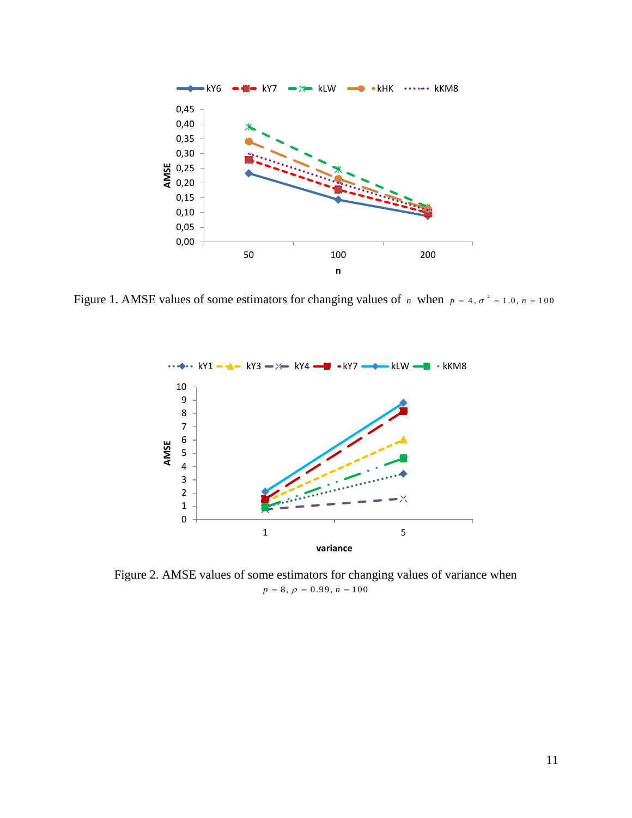

Figure 1. AMSE values of some estimators for changing values of *n* when  $p = 4$ ,  $\sigma^2 = 1.0$ ,  $n = 100$ 



Figure 2. AMSE values of some estimators for changing values of variance when  $p = 8, \, \rho = 0.99, \, n = 100$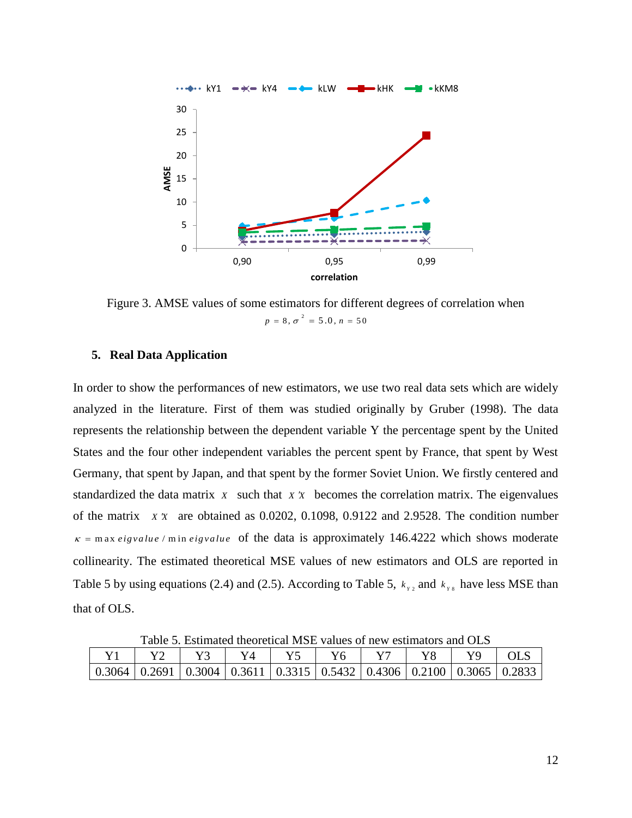

Figure 3. AMSE values of some estimators for different degrees of correlation when  $p = 8, \sigma^2 = 5.0, n = 50$ 

# **5. Real Data Application**

In order to show the performances of new estimators, we use two real data sets which are widely analyzed in the literature. First of them was studied originally by [Gruber \(1998\).](#page-13-13) The data represents the relationship between the dependent variable Y the percentage spent by the United States and the four other independent variables the percent spent by France, that spent by West Germany, that spent by Japan, and that spent by the former Soviet Union. We firstly centered and standardized the data matrix *x* such that *x x* becomes the correlation matrix. The eigenvalues of the matrix *X X* are obtained as 0.0202, 0.1098, 0.9122 and 2.9528. The condition number  $\kappa$  = m ax *eigvalue* / m in *eigvalue* of the data is approximately 146.4222 which shows moderate collinearity. The estimated theoretical MSE values of new estimators and OLS are reported in Table 5 by using equations (2.4) and (2.5). According to Table 5,  $k_{y2}$  and  $k_{y8}$  have less MSE than that of OLS.

| Taone 9. Estimated theoretical frist, values of hew estimators and OES                                                    |  |  |  |  |  |  |  |  |  |  |  |
|---------------------------------------------------------------------------------------------------------------------------|--|--|--|--|--|--|--|--|--|--|--|
|                                                                                                                           |  |  |  |  |  |  |  |  |  |  |  |
| $\mid 0.3064 \mid 0.2691 \mid 0.3004 \mid 0.3611 \mid 0.3315 \mid 0.5432 \mid 0.4306 \mid 0.2100 \mid 0.3065 \mid 0.2833$ |  |  |  |  |  |  |  |  |  |  |  |

Table 5. Estimated theoretical MSE values of new estimators and OLS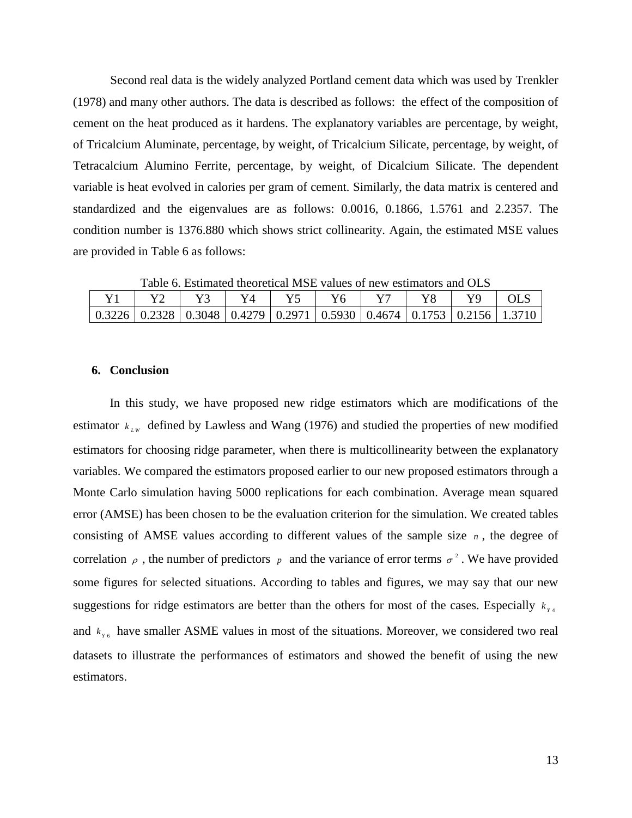Second real data is the widely analyzed Portland cement data which was used by [Trenkler](#page-13-14)  (1978) and many other authors. The data is described as follows: the effect of the composition of cement on the heat produced as it hardens. The explanatory variables are percentage, by weight, of Tricalcium Aluminate, percentage, by weight, of Tricalcium Silicate, percentage, by weight, of Tetracalcium Alumino Ferrite, percentage, by weight, of Dicalcium Silicate. The dependent variable is heat evolved in calories per gram of cement. Similarly, the data matrix is centered and standardized and the eigenvalues are as follows: 0.0016, 0.1866, 1.5761 and 2.2357. The condition number is 1376.880 which shows strict collinearity. Again, the estimated MSE values are provided in Table 6 as follows:

| Table 0. Estimated theoretical index values of hew estimators and OED |                                                                                           |  |  |  |  |  |  |  |     |  |  |
|-----------------------------------------------------------------------|-------------------------------------------------------------------------------------------|--|--|--|--|--|--|--|-----|--|--|
|                                                                       |                                                                                           |  |  |  |  |  |  |  | OLS |  |  |
|                                                                       | $0.3226$   0.2328   0.3048   0.4279   0.2971   0.5930   0.4674   0.1753   0.2156   1.3710 |  |  |  |  |  |  |  |     |  |  |

Table 6. Estimated theoretical MSE values of new estimators and OLS

# **6. Conclusion**

In this study, we have proposed new ridge estimators which are modifications of the estimator  $k_{LW}$  defined by Lawless and Wang (1976) and studied the properties of new modified estimators for choosing ridge parameter, when there is multicollinearity between the explanatory variables. We compared the estimators proposed earlier to our new proposed estimators through a Monte Carlo simulation having 5000 replications for each combination. Average mean squared error (AMSE) has been chosen to be the evaluation criterion for the simulation. We created tables consisting of AMSE values according to different values of the sample size  $n$ , the degree of correlation  $\rho$ , the number of predictors  $p$  and the variance of error terms  $\sigma^2$ . We have provided some figures for selected situations. According to tables and figures, we may say that our new suggestions for ridge estimators are better than the others for most of the cases. Especially  $k_{y4}$ and  $k_{r6}$  have smaller ASME values in most of the situations. Moreover, we considered two real datasets to illustrate the performances of estimators and showed the benefit of using the new estimators.